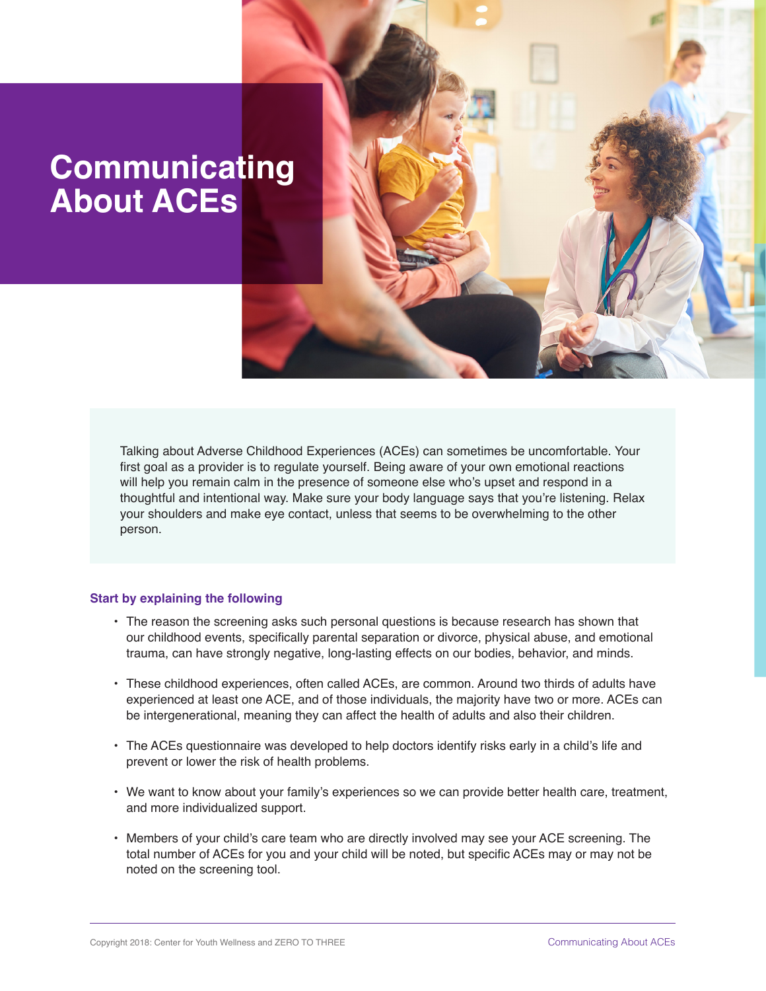# **Communicating About ACEs**

Talking about Adverse Childhood Experiences (ACEs) can sometimes be uncomfortable. Your first goal as a provider is to regulate yourself. Being aware of your own emotional reactions will help you remain calm in the presence of someone else who's upset and respond in a thoughtful and intentional way. Make sure your body language says that you're listening. Relax your shoulders and make eye contact, unless that seems to be overwhelming to the other person.

### **Start by explaining the following**

- The reason the screening asks such personal questions is because research has shown that our childhood events, specifically parental separation or divorce, physical abuse, and emotional trauma, can have strongly negative, long-lasting effects on our bodies, behavior, and minds.
- These childhood experiences, often called ACEs, are common. Around two thirds of adults have experienced at least one ACE, and of those individuals, the majority have two or more. ACEs can be intergenerational, meaning they can affect the health of adults and also their children.
- The ACEs questionnaire was developed to help doctors identify risks early in a child's life and prevent or lower the risk of health problems.
- We want to know about your family's experiences so we can provide better health care, treatment, and more individualized support.
- Members of your child's care team who are directly involved may see your ACE screening. The total number of ACEs for you and your child will be noted, but specific ACEs may or may not be noted on the screening tool.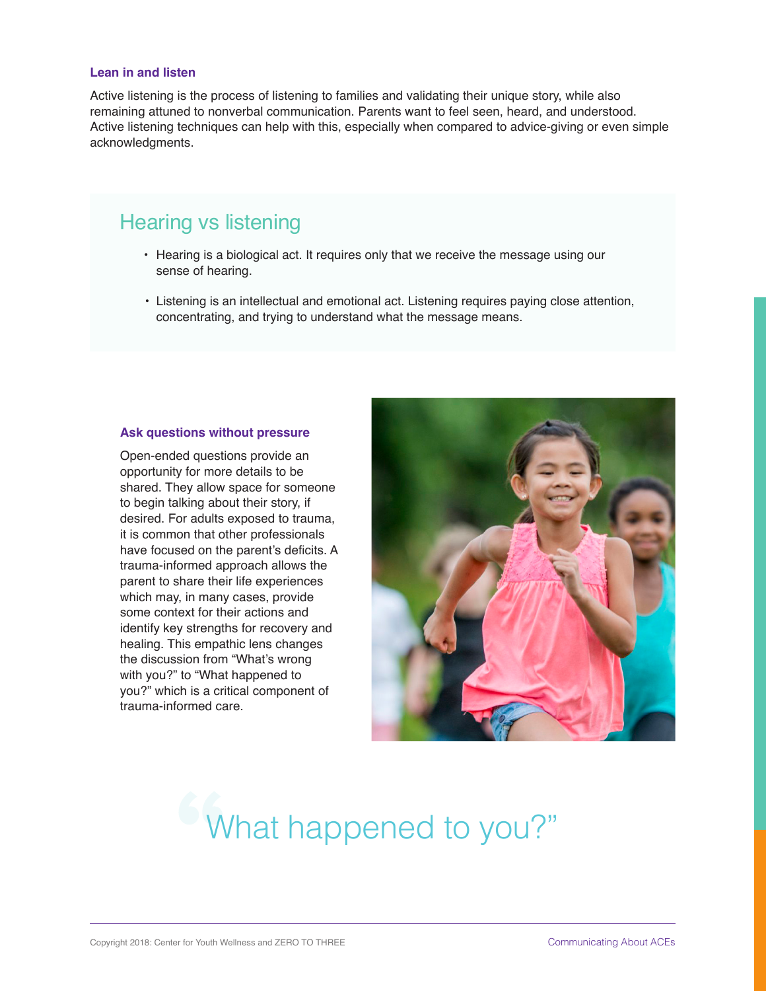### **Lean in and listen**

Active listening is the process of listening to families and validating their unique story, while also remaining attuned to nonverbal communication. Parents want to feel seen, heard, and understood. Active listening techniques can help with this, especially when compared to advice-giving or even simple acknowledgments.

## Hearing vs listening

- Hearing is a biological act. It requires only that we receive the message using our sense of hearing.
- Listening is an intellectual and emotional act. Listening requires paying close attention, concentrating, and trying to understand what the message means.

### **Ask questions without pressure**

Open-ended questions provide an opportunity for more details to be shared. They allow space for someone to begin talking about their story, if desired. For adults exposed to trauma, it is common that other professionals have focused on the parent's deficits. A trauma-informed approach allows the parent to share their life experiences which may, in many cases, provide some context for their actions and identify key strengths for recovery and healing. This empathic lens changes the discussion from "What's wrong with you?" to "What happened to you?" which is a critical component of trauma-informed care.